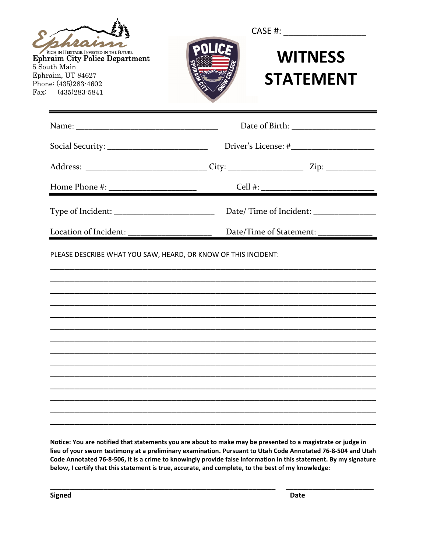| RICH IN HERITAGE. INVESTED IN THE FUTURE.<br><b>Ephraim City Police Department</b><br>5 South Main<br>Ephraim, UT 84627<br>Phone: (435)283-4602<br>$\text{Fax}: (435)283 - 5841$ | <b>WITNESS</b><br><b>STATEMENT</b> |
|----------------------------------------------------------------------------------------------------------------------------------------------------------------------------------|------------------------------------|
|                                                                                                                                                                                  |                                    |
|                                                                                                                                                                                  |                                    |
|                                                                                                                                                                                  |                                    |
|                                                                                                                                                                                  |                                    |
|                                                                                                                                                                                  |                                    |
|                                                                                                                                                                                  |                                    |
| PLEASE DESCRIBE WHAT YOU SAW, HEARD, OR KNOW OF THIS INCIDENT:                                                                                                                   |                                    |
|                                                                                                                                                                                  |                                    |
|                                                                                                                                                                                  |                                    |
|                                                                                                                                                                                  |                                    |

**Notice: You are notified that statements you are about to make may be presented to a magistrate or judge in lieu of your sworn testimony at a preliminary examination. Pursuant to Utah Code Annotated 76-8-504 and Utah Code Annotated 76-8-506, it is a crime to knowingly provide false information in this statement. By my signature below, I certify that this statement is true, accurate, and complete, to the best of my knowledge:** 

**\_\_\_\_\_\_\_\_\_\_\_\_\_\_\_\_\_\_\_\_\_\_\_\_\_\_\_\_\_\_\_\_\_\_\_\_\_\_\_\_\_\_\_\_\_\_\_\_\_\_\_\_\_\_\_\_\_\_\_ \_\_\_\_\_\_\_\_\_\_\_\_\_\_\_\_\_\_\_\_\_\_\_**

**Signed** Date **Date Date Date**